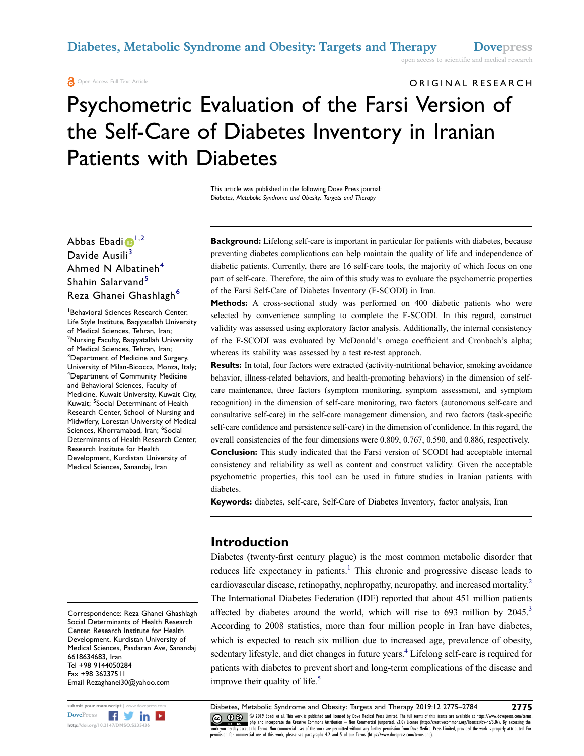#### Open Access Full Text Article

open access to scientific and medical research

# ORIGINAL RESEARCH Psychometric Evaluation of the Farsi Version of the Self-Care of Diabetes Inventory in Iranian Patients with Diabetes

This article was published in the following Dove Press journal: Diabetes, Metabolic Syndrome and Obesity: Targets and Therapy

Abbas Ebadi <sup>[1](#page-0-0),[2](#page-0-1)</sup> Davide Ausili<sup>[3](#page-0-2)</sup> Ahmed N Albatineh<sup>[4](#page-0-3)</sup> Shahin Salarvand<sup>[5](#page-0-4)</sup> Reza Ghanei Ghashlagh<sup>[6](#page-0-5)</sup>

<span id="page-0-5"></span><span id="page-0-4"></span><span id="page-0-3"></span><span id="page-0-2"></span><span id="page-0-1"></span><span id="page-0-0"></span>1 Behavioral Sciences Research Center, Life Style Institute, Baqiyatallah University of Medical Sciences, Tehran, Iran; <sup>2</sup>Nursing Faculty, Baqiyatallah University of Medical Sciences, Tehran, Iran; <sup>3</sup>Department of Medicine and Surgery, University of Milan-Bicocca, Monza, Italy; 4 Department of Community Medicine and Behavioral Sciences, Faculty of Medicine, Kuwait University, Kuwait City, Kuwait; <sup>5</sup>Social Determinant of Health Research Center, School of Nursing and Midwifery, Lorestan University of Medical Sciences, Khorramabad, Iran; <sup>6</sup>Social Determinants of Health Research Center, Research Institute for Health Development, Kurdistan University of Medical Sciences, Sanandaj, Iran

Correspondence: Reza Ghanei Ghashlagh Social Determinants of Health Research Center, Research Institute for Health Development, Kurdistan University of Medical Sciences, Pasdaran Ave, Sanandaj 6618634683, Iran Tel +98 9144050284 Fax +98 36237511 Email Rezaghanei30@yahoo.com



Background: Lifelong self-care is important in particular for patients with diabetes, because preventing diabetes complications can help maintain the quality of life and independence of diabetic patients. Currently, there are 16 self-care tools, the majority of which focus on one part of self-care. Therefore, the aim of this study was to evaluate the psychometric properties of the Farsi Self-Care of Diabetes Inventory (F-SCODI) in Iran.

Methods: A cross-sectional study was performed on 400 diabetic patients who were selected by convenience sampling to complete the F-SCODI. In this regard, construct validity was assessed using exploratory factor analysis. Additionally, the internal consistency of the F-SCODI was evaluated by McDonald's omega coefficient and Cronbach's alpha; whereas its stability was assessed by a test re-test approach.

Results: In total, four factors were extracted (activity-nutritional behavior, smoking avoidance behavior, illness-related behaviors, and health-promoting behaviors) in the dimension of selfcare maintenance, three factors (symptom monitoring, symptom assessment, and symptom recognition) in the dimension of self-care monitoring, two factors (autonomous self-care and consultative self-care) in the self-care management dimension, and two factors (task-specific self-care confidence and persistence self-care) in the dimension of confidence. In this regard, the overall consistencies of the four dimensions were 0.809, 0.767, 0.590, and 0.886, respectively.

Conclusion: This study indicated that the Farsi version of SCODI had acceptable internal consistency and reliability as well as content and construct validity. Given the acceptable psychometric properties, this tool can be used in future studies in Iranian patients with diabetes.

Keywords: diabetes, self-care, Self-Care of Diabetes Inventory, factor analysis, Iran

#### Introduction

<span id="page-0-10"></span><span id="page-0-9"></span><span id="page-0-8"></span><span id="page-0-7"></span><span id="page-0-6"></span>Diabetes (twenty-first century plague) is the most common metabolic disorder that reduces life expectancy in patients.<sup>1</sup> This chronic and progressive disease leads to cardiovascular disease, retinopathy, nephropathy, neuropathy, and increased mortality.<sup>2</sup> The International Diabetes Federation (IDF) reported that about 451 million patients affected by diabetes around the world, which will rise to  $693$  million by  $2045$ .<sup>3</sup> According to 2008 statistics, more than four million people in Iran have diabetes, which is expected to reach six million due to increased age, prevalence of obesity, sedentary lifestyle, and diet changes in future years.<sup>4</sup> Lifelong self-care is required for patients with diabetes to prevent short and long-term complications of the disease and improve their quality of life. $5$ 

submit your manuscript | www.dovepress.com Diabetes, Metabolic Syndrome and Obesity: Targets and Therapy 2019:12 2775–2784 2775<br>DovePress **Figure 2019:** The United States of the Subject of the Subject of the Subject of the Doverlands and the method of the contents of the content of the content of the specific of the content of the file terms of this license are available at https://www.dovepress.com/terms.<br>http://doi.org/10.2147/DMSO.5235436 permission for commercial use of this work, please see paragraphs 4.2 and 5 of our Terms (https://www.dovepress.com/terms.php).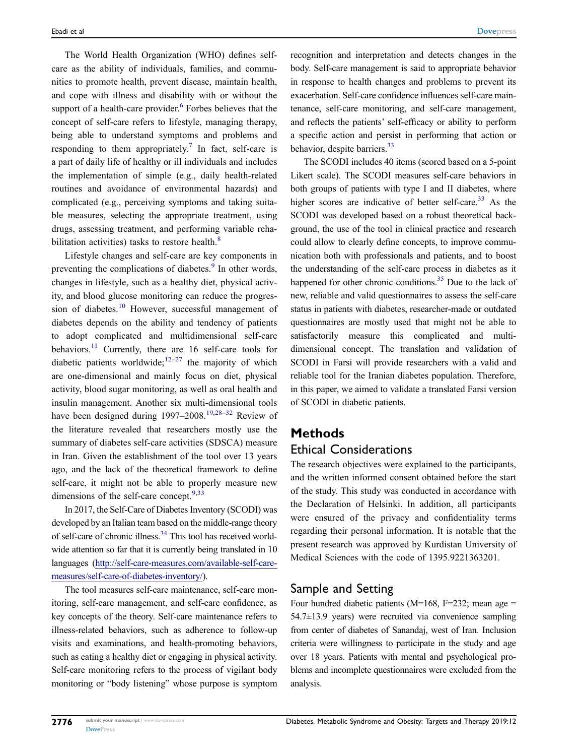<span id="page-1-1"></span><span id="page-1-0"></span>The World Health Organization (WHO) defines selfcare as the ability of individuals, families, and communities to promote health, prevent disease, maintain health, and cope with illness and disability with or without the support of a health-care provider. $6$  Forbes believes that the concept of self-care refers to lifestyle, managing therapy, being able to understand symptoms and problems and responding to them appropriately.<sup>[7](#page-8-1)</sup> In fact, self-care is a part of daily life of healthy or ill individuals and includes the implementation of simple (e.g., daily health-related routines and avoidance of environmental hazards) and complicated (e.g., perceiving symptoms and taking suitable measures, selecting the appropriate treatment, using drugs, assessing treatment, and performing variable reha-bilitation activities) tasks to restore health.<sup>[8](#page-8-2)</sup>

<span id="page-1-6"></span><span id="page-1-5"></span><span id="page-1-4"></span><span id="page-1-2"></span>Lifestyle changes and self-care are key components in preventing the complications of diabetes.<sup>[9](#page-8-3)</sup> In other words, changes in lifestyle, such as a healthy diet, physical activity, and blood glucose monitoring can reduce the progres-sion of diabetes.<sup>[10](#page-8-4)</sup> However, successful management of diabetes depends on the ability and tendency of patients to adopt complicated and multidimensional self-care behaviors.<sup>11</sup> Currently, there are 16 self-care tools for diabetic patients worldwide;<sup>[12](#page-8-6)–[27](#page-8-7)</sup> the majority of which are one-dimensional and mainly focus on diet, physical activity, blood sugar monitoring, as well as oral health and insulin management. Another six multi-dimensional tools have been designed during [19](#page-8-8)97–2008.<sup>19[,28](#page-8-9)–[32](#page-8-10)</sup> Review of the literature revealed that researchers mostly use the summary of diabetes self-care activities (SDSCA) measure in Iran. Given the establishment of the tool over 13 years ago, and the lack of the theoretical framework to define self-care, it might not be able to properly measure new dimensions of the self-care concept. $9,33$  $9,33$  $9,33$ 

<span id="page-1-9"></span><span id="page-1-7"></span><span id="page-1-3"></span>In 2017, the Self-Care of Diabetes Inventory (SCODI) was developed by an Italian team based on the middle-range theory of self-care of chronic illness.<sup>34</sup> This tool has received worldwide attention so far that it is currently being translated in 10 languages [\(http://self-care-measures.com/available-self-care](http://self-care-measures.com/available-self-care-measures/self-care-of-diabetes-inventory/)[measures/self-care-of-diabetes-inventory/](http://self-care-measures.com/available-self-care-measures/self-care-of-diabetes-inventory/)).

The tool measures self-care maintenance, self-care monitoring, self-care management, and self-care confidence, as key concepts of the theory. Self-care maintenance refers to illness-related behaviors, such as adherence to follow-up visits and examinations, and health-promoting behaviors, such as eating a healthy diet or engaging in physical activity. Self-care monitoring refers to the process of vigilant body monitoring or "body listening" whose purpose is symptom recognition and interpretation and detects changes in the body. Self-care management is said to appropriate behavior in response to health changes and problems to prevent its exacerbation. Self-care confidence influences self-care maintenance, self-care monitoring, and self-care management, and reflects the patients' self-efficacy or ability to perform a specific action and persist in performing that action or behavior, despite barriers.<sup>33</sup>

<span id="page-1-10"></span><span id="page-1-8"></span>The SCODI includes 40 items (scored based on a 5-point Likert scale). The SCODI measures self-care behaviors in both groups of patients with type I and II diabetes, where higher scores are indicative of better self-care.<sup>33</sup> As the SCODI was developed based on a robust theoretical background, the use of the tool in clinical practice and research could allow to clearly define concepts, to improve communication both with professionals and patients, and to boost the understanding of the self-care process in diabetes as it happened for other chronic conditions.<sup>35</sup> Due to the lack of new, reliable and valid questionnaires to assess the self-care status in patients with diabetes, researcher-made or outdated questionnaires are mostly used that might not be able to satisfactorily measure this complicated and multidimensional concept. The translation and validation of SCODI in Farsi will provide researchers with a valid and reliable tool for the Iranian diabetes population. Therefore, in this paper, we aimed to validate a translated Farsi version of SCODI in diabetic patients.

#### Methods

#### Ethical Considerations

The research objectives were explained to the participants, and the written informed consent obtained before the start of the study. This study was conducted in accordance with the Declaration of Helsinki. In addition, all participants were ensured of the privacy and confidentiality terms regarding their personal information. It is notable that the present research was approved by Kurdistan University of Medical Sciences with the code of 1395.9221363201.

#### Sample and Setting

Four hundred diabetic patients ( $M=168$ ,  $F=232$ ; mean age = 54.7±13.9 years) were recruited via convenience sampling from center of diabetes of Sanandaj, west of Iran. Inclusion criteria were willingness to participate in the study and age over 18 years. Patients with mental and psychological problems and incomplete questionnaires were excluded from the analysis.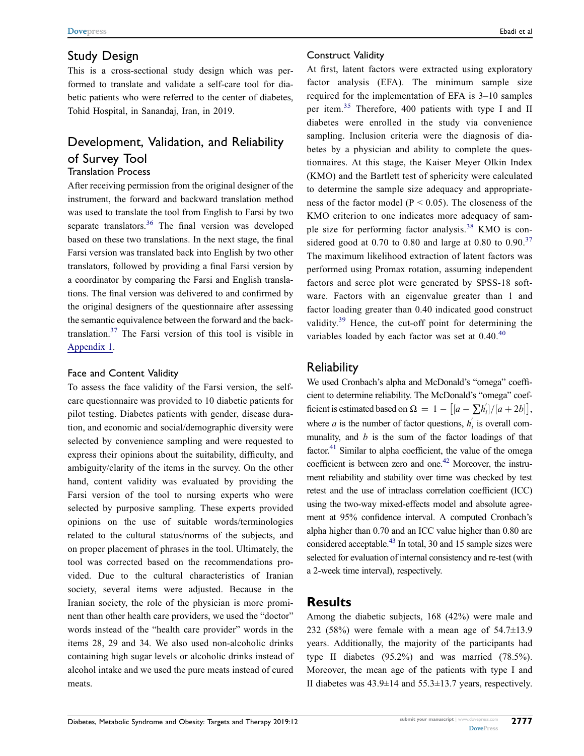#### Study Design

This is a cross-sectional study design which was performed to translate and validate a self-care tool for diabetic patients who were referred to the center of diabetes, Tohid Hospital, in Sanandaj, Iran, in 2019.

## Development, Validation, and Reliability of Survey Tool

#### Translation Process

After receiving permission from the original designer of the instrument, the forward and backward translation method was used to translate the tool from English to Farsi by two separate translators.<sup>[36](#page-8-14)</sup> The final version was developed based on these two translations. In the next stage, the final Farsi version was translated back into English by two other translators, followed by providing a final Farsi version by a coordinator by comparing the Farsi and English translations. The final version was delivered to and confirmed by the original designers of the questionnaire after assessing the semantic equivalence between the forward and the backtranslation.[37](#page-8-15) The Farsi version of this tool is visible in [Appendix 1](http://www.dovepress.com/get_supplementary_file.php?f=235436.docx).

#### Face and Content Validity

To assess the face validity of the Farsi version, the selfcare questionnaire was provided to 10 diabetic patients for pilot testing. Diabetes patients with gender, disease duration, and economic and social/demographic diversity were selected by convenience sampling and were requested to express their opinions about the suitability, difficulty, and ambiguity/clarity of the items in the survey. On the other hand, content validity was evaluated by providing the Farsi version of the tool to nursing experts who were selected by purposive sampling. These experts provided opinions on the use of suitable words/terminologies related to the cultural status/norms of the subjects, and on proper placement of phrases in the tool. Ultimately, the tool was corrected based on the recommendations provided. Due to the cultural characteristics of Iranian society, several items were adjusted. Because in the Iranian society, the role of the physician is more prominent than other health care providers, we used the "doctor" words instead of the "health care provider" words in the items 28, 29 and 34. We also used non-alcoholic drinks containing high sugar levels or alcoholic drinks instead of alcohol intake and we used the pure meats instead of cured meats.

#### Construct Validity

At first, latent factors were extracted using exploratory factor analysis (EFA). The minimum sample size required for the implementation of EFA is 3–10 samples per item.[35](#page-8-13) Therefore, 400 patients with type I and II diabetes were enrolled in the study via convenience sampling. Inclusion criteria were the diagnosis of diabetes by a physician and ability to complete the questionnaires. At this stage, the Kaiser Meyer Olkin Index (KMO) and the Bartlett test of sphericity were calculated to determine the sample size adequacy and appropriateness of the factor model ( $P < 0.05$ ). The closeness of the KMO criterion to one indicates more adequacy of sample size for performing factor analysis.[38](#page-8-16) KMO is con-sidered good at 0.70 to 0.80 and large at 0.80 to 0.90.<sup>[37](#page-8-15)</sup> The maximum likelihood extraction of latent factors was performed using Promax rotation, assuming independent factors and scree plot were generated by SPSS-18 software. Factors with an eigenvalue greater than 1 and factor loading greater than 0.40 indicated good construct validity.<sup>[39](#page-8-17)</sup> Hence, the cut-off point for determining the variables loaded by each factor was set at  $0.40^{40}$  $0.40^{40}$  $0.40^{40}$ 

#### <span id="page-2-3"></span><span id="page-2-2"></span><span id="page-2-1"></span><span id="page-2-0"></span>**Reliability**

<span id="page-2-5"></span><span id="page-2-4"></span>We used Cronbach's alpha and McDonald's "omega" coefficient to determine reliability. The McDonald's "omega" coefficient is estimated based on  $\Omega = 1 - \left[ [a - \sum h'_i]/[a + 2b] \right]$ , where *a* is the number of factor questions,  $h'_i$  is overall communality, and  $b$  is the sum of the factor loadings of that factor.<sup>[41](#page-8-19)</sup> Similar to alpha coefficient, the value of the omega coefficient is between zero and one.<sup>42</sup> Moreover, the instrument reliability and stability over time was checked by test retest and the use of intraclass correlation coefficient (ICC) using the two-way mixed-effects model and absolute agreement at 95% confidence interval. A computed Cronbach's alpha higher than 0.70 and an ICC value higher than 0.80 are considered acceptable.<sup>43</sup> In total, 30 and 15 sample sizes were selected for evaluation of internal consistency and re-test (with a 2-week time interval), respectively.

#### <span id="page-2-6"></span>Results

Among the diabetic subjects, 168 (42%) were male and 232 (58%) were female with a mean age of 54.7±13.9 years. Additionally, the majority of the participants had type II diabetes (95.2%) and was married (78.5%). Moreover, the mean age of the patients with type I and II diabetes was 43.9±14 and 55.3±13.7 years, respectively.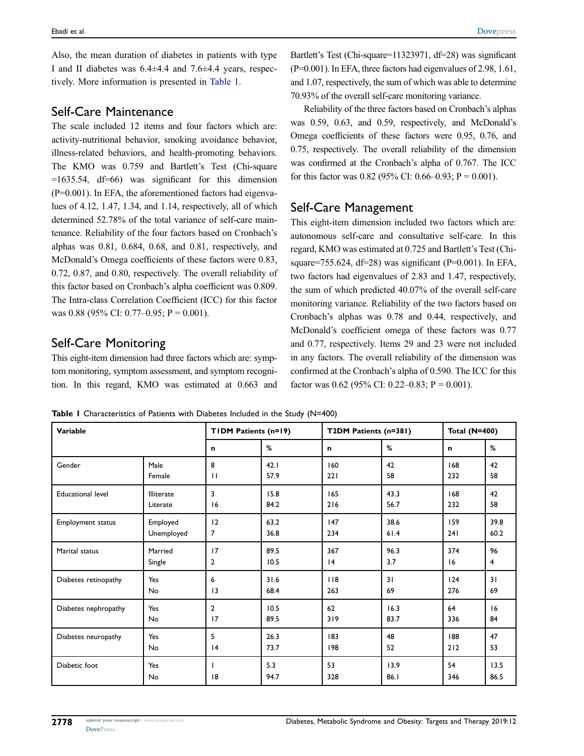Also, the mean duration of diabetes in patients with type I and II diabetes was 6.4±4.4 and 7.6±4.4 years, respectively. More information is presented in [Table 1.](#page-3-0)

#### Self-Care Maintenance

The scale included 12 items and four factors which are: activity-nutritional behavior, smoking avoidance behavior, illness-related behaviors, and health-promoting behaviors. The KMO was 0.759 and Bartlett's Test (Chi-square  $=1635.54$ , df $=66$ ) was significant for this dimension  $(P=0.001)$ . In EFA, the aforementioned factors had eigenvalues of 4.12, 1.47, 1.34, and 1.14, respectively, all of which determined 52.78% of the total variance of self-care maintenance. Reliability of the four factors based on Cronbach's alphas was 0.81, 0.684, 0.68, and 0.81, respectively, and McDonald's Omega coefficients of these factors were 0.83, 0.72, 0.87, and 0.80, respectively. The overall reliability of this factor based on Cronbach's alpha coefficient was 0.809. The Intra-class Correlation Coefficient (ICC) for this factor was 0.88 (95% CI: 0.77–0.95; P = 0.001).

### Self-Care Monitoring

This eight-item dimension had three factors which are: symptom monitoring, symptom assessment, and symptom recognition. In this regard, KMO was estimated at 0.663 and Bartlett's Test (Chi-square=11323971, df=28) was significant (P=0.001). In EFA, three factors had eigenvalues of 2.98, 1.61, and 1.07, respectively, the sum of which was able to determine 70.93% of the overall self-care monitoring variance.

Reliability of the three factors based on Cronbach's alphas was 0.59, 0.63, and 0.59, respectively, and McDonald's Omega coefficients of these factors were 0.95, 0.76, and 0.75, respectively. The overall reliability of the dimension was confirmed at the Cronbach's alpha of 0.767. The ICC for this factor was 0.82 (95% CI: 0.66–0.93;  $P = 0.001$ ).

#### Self-Care Management

This eight-item dimension included two factors which are: autonomous self-care and consultative self-care. In this regard, KMO was estimated at 0.725 and Bartlett's Test (Chisquare=755.624, df=28) was significant (P=0.001). In EFA, two factors had eigenvalues of 2.83 and 1.47, respectively, the sum of which predicted 40.07% of the overall self-care monitoring variance. Reliability of the two factors based on Cronbach's alphas was 0.78 and 0.44, respectively, and McDonald's coefficient omega of these factors was 0.77 and 0.77, respectively. Items 29 and 23 were not included in any factors. The overall reliability of the dimension was confirmed at the Cronbach's alpha of 0.590. The ICC for this factor was 0.62 (95% CI: 0.22–0.83;  $P = 0.001$ ).

<span id="page-3-0"></span>Table 1 Characteristics of Patients with Diabetes Included in the Study (N=400)

| Variable                 |                   | TIDM Patients (n=19) |             | T2DM Patients (n=381) |              | <b>Total (N=400)</b> |              |
|--------------------------|-------------------|----------------------|-------------|-----------------------|--------------|----------------------|--------------|
|                          |                   | $\mathbf n$          | %           | $\mathbf n$           | %            | n                    | %            |
| Gender                   | Male              | 8                    | 42.1        | 160                   | 42           | 168                  | 42           |
|                          | Female            | $\mathbf{H}$         | 57.9        | 221                   | 58           | 232                  | 58           |
| <b>Educational level</b> | <b>Illiterate</b> | 3                    | 15.8        | 165                   | 43.3         | 168                  | 42           |
|                          | Literate          | 16                   | 84.2        | 216                   | 56.7         | 232                  | 58           |
| <b>Employment status</b> | Employed          | 12                   | 63.2        | 147                   | 38.6         | 159                  | 39.8         |
|                          | Unemployed        | 7                    | 36.8        | 234                   | 61.4         | 241                  | 60.2         |
| Marital status           | Married           | 17                   | 89.5        | 367                   | 96.3         | 374                  | 96           |
|                          | Single            | $\overline{2}$       | 10.5        | 4                     | 3.7          | 16                   | 4            |
| Diabetes retinopathy     | Yes               | 6                    | 31.6        | 118                   | 31           | 124                  | 31           |
|                          | No                | $\overline{13}$      | 68.4        | 263                   | 69           | 276                  | 69           |
| Diabetes nephropathy     | Yes               | $\overline{2}$       | 10.5        | 62                    | 16.3         | 64                   | 16           |
|                          | No                | 17                   | 89.5        | 319                   | 83.7         | 336                  | 84           |
| Diabetes neuropathy      | Yes               | 5                    | 26.3        | 183                   | 48           | 188                  | 47           |
|                          | No                | 4                    | 73.7        | 198                   | 52           | 212                  | 53           |
| Diabetic foot            | Yes<br>No         | 8                    | 5.3<br>94.7 | 53<br>328             | 13.9<br>86.1 | 54<br>346            | 13.5<br>86.5 |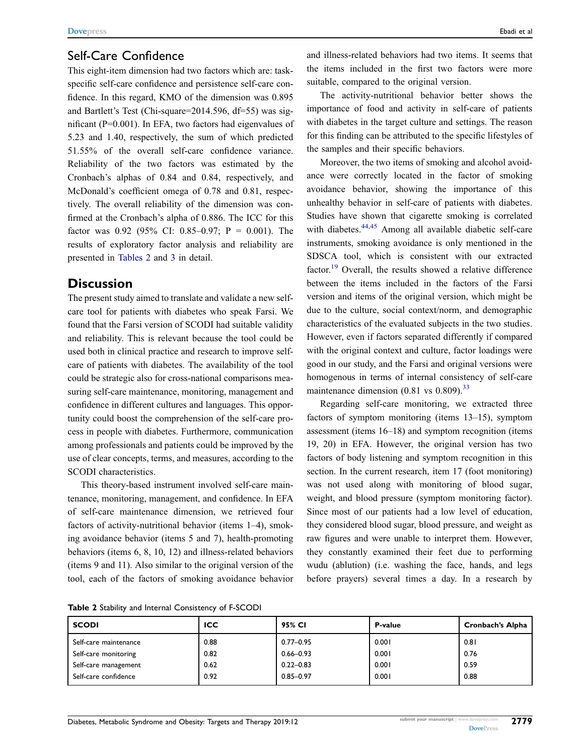#### Self-Care Confidence

This eight-item dimension had two factors which are: taskspecific self-care confidence and persistence self-care confidence. In this regard, KMO of the dimension was 0.895 and Bartlett's Test (Chi-square=2014.596, df=55) was significant (P=0.001). In EFA, two factors had eigenvalues of 5.23 and 1.40, respectively, the sum of which predicted 51.55% of the overall self-care confidence variance. Reliability of the two factors was estimated by the Cronbach's alphas of 0.84 and 0.84, respectively, and McDonald's coefficient omega of 0.78 and 0.81, respectively. The overall reliability of the dimension was confirmed at the Cronbach's alpha of 0.886. The ICC for this factor was 0.92 (95% CI: 0.85–0.97; P = 0.001). The results of exploratory factor analysis and reliability are presented in [Tables 2](#page-4-0) and [3](#page-5-0) in detail.

#### **Discussion**

The present study aimed to translate and validate a new selfcare tool for patients with diabetes who speak Farsi. We found that the Farsi version of SCODI had suitable validity and reliability. This is relevant because the tool could be used both in clinical practice and research to improve selfcare of patients with diabetes. The availability of the tool could be strategic also for cross-national comparisons measuring self-care maintenance, monitoring, management and confidence in different cultures and languages. This opportunity could boost the comprehension of the self-care process in people with diabetes. Furthermore, communication among professionals and patients could be improved by the use of clear concepts, terms, and measures, according to the SCODI characteristics.

This theory-based instrument involved self-care maintenance, monitoring, management, and confidence. In EFA of self-care maintenance dimension, we retrieved four factors of activity-nutritional behavior (items 1–4), smoking avoidance behavior (items 5 and 7), health-promoting behaviors (items 6, 8, 10, 12) and illness-related behaviors (items 9 and 11). Also similar to the original version of the tool, each of the factors of smoking avoidance behavior and illness-related behaviors had two items. It seems that the items included in the first two factors were more suitable, compared to the original version.

The activity-nutritional behavior better shows the importance of food and activity in self-care of patients with diabetes in the target culture and settings. The reason for this finding can be attributed to the specific lifestyles of the samples and their specific behaviors.

<span id="page-4-1"></span>Moreover, the two items of smoking and alcohol avoidance were correctly located in the factor of smoking avoidance behavior, showing the importance of this unhealthy behavior in self-care of patients with diabetes. Studies have shown that cigarette smoking is correlated with diabetes.<sup>[44](#page-9-0)[,45](#page-9-1)</sup> Among all available diabetic self-care instruments, smoking avoidance is only mentioned in the SDSCA tool, which is consistent with our extracted factor.<sup>19</sup> Overall, the results showed a relative difference between the items included in the factors of the Farsi version and items of the original version, which might be due to the culture, social context/norm, and demographic characteristics of the evaluated subjects in the two studies. However, even if factors separated differently if compared with the original context and culture, factor loadings were good in our study, and the Farsi and original versions were homogenous in terms of internal consistency of self-care maintenance dimension  $(0.81 \text{ vs } 0.809)^{33}$  $(0.81 \text{ vs } 0.809)^{33}$  $(0.81 \text{ vs } 0.809)^{33}$ 

Regarding self-care monitoring, we extracted three factors of symptom monitoring (items 13–15), symptom assessment (items 16–18) and symptom recognition (items 19, 20) in EFA. However, the original version has two factors of body listening and symptom recognition in this section. In the current research, item 17 (foot monitoring) was not used along with monitoring of blood sugar, weight, and blood pressure (symptom monitoring factor). Since most of our patients had a low level of education, they considered blood sugar, blood pressure, and weight as raw figures and were unable to interpret them. However, they constantly examined their feet due to performing wudu (ablution) (i.e. washing the face, hands, and legs before prayers) several times a day. In a research by

<span id="page-4-0"></span>

|  |  |  |  |  | Table 2 Stability and Internal Consistency of F-SCODI |  |  |
|--|--|--|--|--|-------------------------------------------------------|--|--|
|--|--|--|--|--|-------------------------------------------------------|--|--|

| <b>SCODI</b>          | <b>ICC</b> | 95% CI        | P-value | Cronbach's Alpha |
|-----------------------|------------|---------------|---------|------------------|
| Self-care maintenance | 0.88       | $0.77 - 0.95$ | 0.001   | 0.81             |
| Self-care monitoring  | 0.82       | $0.66 - 0.93$ | 0.001   | 0.76             |
| Self-care management  | 0.62       | $0.22 - 0.83$ | 0.001   | 0.59             |
| Self-care confidence  | 0.92       | $0.85 - 0.97$ | 0.001   | 0.88             |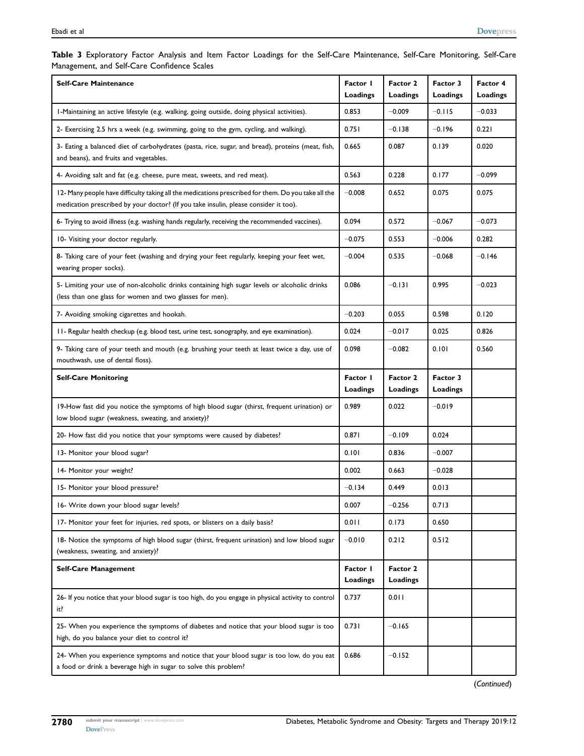| <b>Self-Care Maintenance</b>                                                                                                                                                                | Factor I<br>Loadings | Factor 2<br>Loadings | Factor 3<br>Loadings | Factor 4<br>Loadings |
|---------------------------------------------------------------------------------------------------------------------------------------------------------------------------------------------|----------------------|----------------------|----------------------|----------------------|
| I-Maintaining an active lifestyle (e.g. walking, going outside, doing physical activities).                                                                                                 | 0.853                | $-0.009$             | $-0.115$             | $-0.033$             |
| 2- Exercising 2.5 hrs a week (e.g. swimming, going to the gym, cycling, and walking).                                                                                                       | 0.751                | $-0.138$             | $-0.196$             | 0.221                |
| 3- Eating a balanced diet of carbohydrates (pasta, rice, sugar, and bread), proteins (meat, fish,<br>and beans), and fruits and vegetables.                                                 | 0.665                | 0.087                | 0.139                | 0.020                |
| 4- Avoiding salt and fat (e.g. cheese, pure meat, sweets, and red meat).                                                                                                                    | 0.563                | 0.228                | 0.177                | $-0.099$             |
| 12- Many people have difficulty taking all the medications prescribed for them. Do you take all the<br>medication prescribed by your doctor? (If you take insulin, please consider it too). | $-0.008$             | 0.652                | 0.075                | 0.075                |
| 6- Trying to avoid illness (e.g. washing hands regularly, receiving the recommended vaccines).                                                                                              | 0.094                | 0.572                | $-0.067$             | $-0.073$             |
| 10- Visiting your doctor regularly.                                                                                                                                                         | $-0.075$             | 0.553                | $-0.006$             | 0.282                |
| 8- Taking care of your feet (washing and drying your feet regularly, keeping your feet wet,<br>wearing proper socks).                                                                       | $-0.004$             | 0.535                | $-0.068$             | $-0.146$             |
| 5- Limiting your use of non-alcoholic drinks containing high sugar levels or alcoholic drinks<br>(less than one glass for women and two glasses for men).                                   | 0.086                | $-0.131$             | 0.995                | $-0.023$             |
| 7- Avoiding smoking cigarettes and hookah.                                                                                                                                                  | $-0.203$             | 0.055                | 0.598                | 0.120                |
| II- Regular health checkup (e.g. blood test, urine test, sonography, and eye examination).                                                                                                  | 0.024                | $-0.017$             | 0.025                | 0.826                |
| 9- Taking care of your teeth and mouth (e.g. brushing your teeth at least twice a day, use of<br>mouthwash, use of dental floss).                                                           | 0.098                | $-0.082$             | 0.101                | 0.560                |
| <b>Self-Care Monitoring</b>                                                                                                                                                                 | Factor I<br>Loadings | Factor 2<br>Loadings | Factor 3<br>Loadings |                      |
| 19-How fast did you notice the symptoms of high blood sugar (thirst, frequent urination) or<br>low blood sugar (weakness, sweating, and anxiety)?                                           | 0.989                | 0.022                | $-0.019$             |                      |
| 20- How fast did you notice that your symptoms were caused by diabetes?                                                                                                                     | 0.871                | $-0.109$             | 0.024                |                      |
| 13- Monitor your blood sugar?                                                                                                                                                               | 0.101                | 0.836                | $-0.007$             |                      |
| 14- Monitor your weight?                                                                                                                                                                    | 0.002                | 0.663                | $-0.028$             |                      |
| 15- Monitor your blood pressure?                                                                                                                                                            | $-0.134$             | 0.449                | 0.013                |                      |
| 16- Write down your blood sugar levels?                                                                                                                                                     | 0.007                | $-0.256$             | 0.713                |                      |
| 17- Monitor your feet for injuries, red spots, or blisters on a daily basis?                                                                                                                | 0.011                | 0.173                | 0.650                |                      |
| 18- Notice the symptoms of high blood sugar (thirst, frequent urination) and low blood sugar<br>(weakness, sweating, and anxiety)?                                                          | $-0.010$             | 0.212                | 0.512                |                      |
| Self-Care Management                                                                                                                                                                        | Factor I<br>Loadings | Factor 2<br>Loadings |                      |                      |
| 26- If you notice that your blood sugar is too high, do you engage in physical activity to control<br>it?                                                                                   | 0.737                | 0.011                |                      |                      |
| 25- When you experience the symptoms of diabetes and notice that your blood sugar is too<br>high, do you balance your diet to control it?                                                   | 0.731                | $-0.165$             |                      |                      |
| 24- When you experience symptoms and notice that your blood sugar is too low, do you eat<br>a food or drink a beverage high in sugar to solve this problem?                                 | 0.686                | $-0.152$             |                      |                      |

<span id="page-5-0"></span>Table 3 Exploratory Factor Analysis and Item Factor Loadings for the Self-Care Maintenance, Self-Care Monitoring, Self-Care Management, and Self-Care Confidence Scales

(Continued)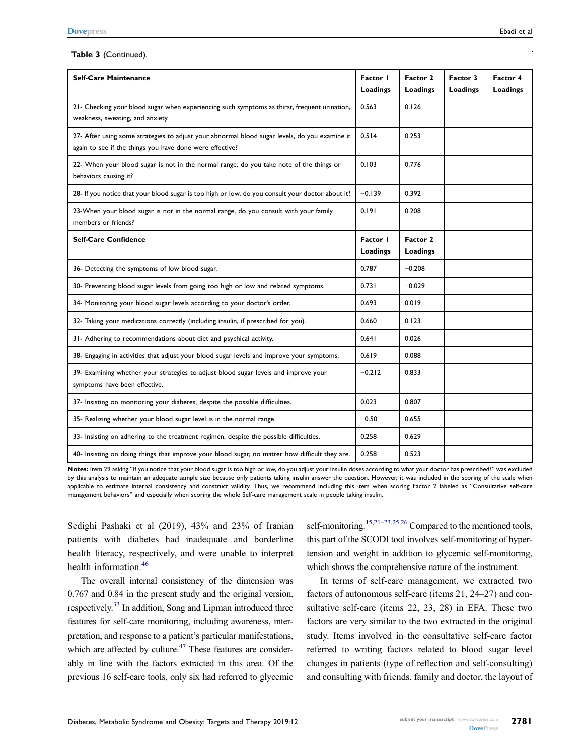| <b>Self-Care Maintenance</b>                                                                                                                              | Factor I<br>Loadings | Factor 2<br>Loadings | Factor 3<br><b>Loadings</b> | Factor 4<br>Loadings |
|-----------------------------------------------------------------------------------------------------------------------------------------------------------|----------------------|----------------------|-----------------------------|----------------------|
| 21- Checking your blood sugar when experiencing such symptoms as thirst, frequent urination,<br>weakness, sweating, and anxiety.                          | 0.563                | 0.126                |                             |                      |
| 27- After using some strategies to adjust your abnormal blood sugar levels, do you examine it<br>again to see if the things you have done were effective? | 0.514                | 0.253                |                             |                      |
| 22- When your blood sugar is not in the normal range, do you take note of the things or<br>behaviors causing it?                                          | 0.103                | 0.776                |                             |                      |
| 28- If you notice that your blood sugar is too high or low, do you consult your doctor about it?                                                          | $-0.139$             | 0.392                |                             |                      |
| 23-When your blood sugar is not in the normal range, do you consult with your family<br>members or friends?                                               | 0.191                | 0.208                |                             |                      |
| <b>Self-Care Confidence</b>                                                                                                                               | Factor I<br>Loadings | Factor 2<br>Loadings |                             |                      |
| 36- Detecting the symptoms of low blood sugar.                                                                                                            | 0.787                | $-0.208$             |                             |                      |
| 30- Preventing blood sugar levels from going too high or low and related symptoms.                                                                        | 0.731                | $-0.029$             |                             |                      |
| 34- Monitoring your blood sugar levels according to your doctor's order.                                                                                  | 0.693                | 0.019                |                             |                      |
| 32- Taking your medications correctly (including insulin, if prescribed for you).                                                                         | 0.660                | 0.123                |                             |                      |
| 31- Adhering to recommendations about diet and psychical activity.                                                                                        | 0.641                | 0.026                |                             |                      |
| 38- Engaging in activities that adjust your blood sugar levels and improve your symptoms.                                                                 | 0.619                | 0.088                |                             |                      |
| 39- Examining whether your strategies to adjust blood sugar levels and improve your<br>symptoms have been effective.                                      | $-0.212$             | 0.833                |                             |                      |
| 37- Insisting on monitoring your diabetes, despite the possible difficulties.                                                                             | 0.023                | 0.807                |                             |                      |
| 35- Realizing whether your blood sugar level is in the normal range.                                                                                      | $-0.50$              | 0.655                |                             |                      |
| 33- Insisting on adhering to the treatment regimen, despite the possible difficulties.                                                                    | 0.258                | 0.629                |                             |                      |
| 40- Insisting on doing things that improve your blood sugar, no matter how difficult they are.                                                            | 0.258                | 0.523                |                             |                      |

Notes: Item 29 asking "If you notice that your blood sugar is too high or low, do you adjust your insulin doses according to what your doctor has prescribed?" was excluded by this analysis to maintain an adequate sample size because only patients taking insulin answer the question. However, it was included in the scoring of the scale when applicable to estimate internal consistency and construct validity. Thus, we recommend including this item when scoring Factor 2 labeled as "Consultative self-care management behaviors" and especially when scoring the whole Self-care management scale in people taking insulin.

Sedighi Pashaki et al (2019), 43% and 23% of Iranian patients with diabetes had inadequate and borderline health literacy, respectively, and were unable to interpret health information.<sup>46</sup>

<span id="page-6-2"></span><span id="page-6-1"></span>The overall internal consistency of the dimension was 0.767 and 0.84 in the present study and the original version, respectively.<sup>[33](#page-8-11)</sup> In addition, Song and Lipman introduced three features for self-care monitoring, including awareness, interpretation, and response to a patient's particular manifestations, which are affected by culture. $47$  These features are considerably in line with the factors extracted in this area. Of the previous 16 self-care tools, only six had referred to glycemic

<span id="page-6-0"></span>self-monitoring.<sup>15[,21](#page-8-23)–[23](#page-8-24)[,25,](#page-8-25)[26](#page-8-26)</sup> Compared to the mentioned tools, this part of the SCODI tool involves self-monitoring of hypertension and weight in addition to glycemic self-monitoring, which shows the comprehensive nature of the instrument.

In terms of self-care management, we extracted two factors of autonomous self-care (items 21, 24–27) and consultative self-care (items 22, 23, 28) in EFA. These two factors are very similar to the two extracted in the original study. Items involved in the consultative self-care factor referred to writing factors related to blood sugar level changes in patients (type of reflection and self-consulting) and consulting with friends, family and doctor, the layout of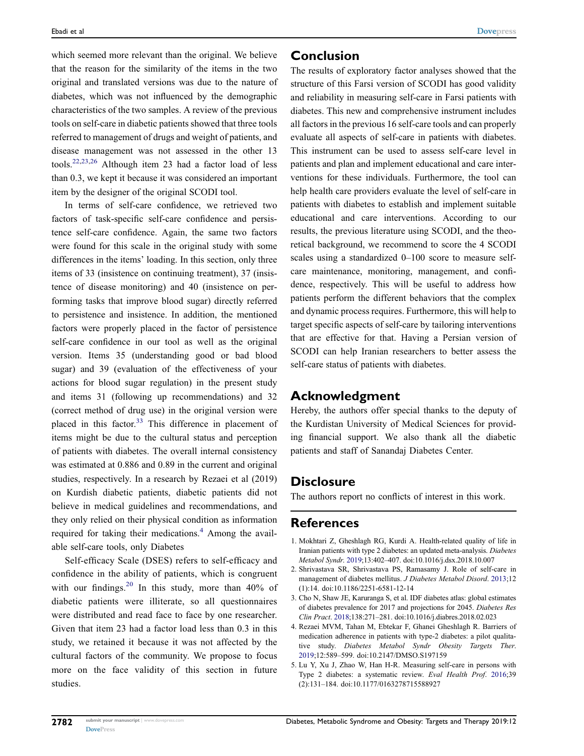which seemed more relevant than the original. We believe that the reason for the similarity of the items in the two original and translated versions was due to the nature of diabetes, which was not influenced by the demographic characteristics of the two samples. A review of the previous tools on self-care in diabetic patients showed that three tools referred to management of drugs and weight of patients, and disease management was not assessed in the other 13 tools.[22](#page-8-27)[,23,](#page-8-24)[26](#page-8-26) Although item 23 had a factor load of less than 0.3, we kept it because it was considered an important item by the designer of the original SCODI tool.

<span id="page-7-6"></span>In terms of self-care confidence, we retrieved two factors of task-specific self-care confidence and persistence self-care confidence. Again, the same two factors were found for this scale in the original study with some differences in the items' loading. In this section, only three items of 33 (insistence on continuing treatment), 37 (insistence of disease monitoring) and 40 (insistence on performing tasks that improve blood sugar) directly referred to persistence and insistence. In addition, the mentioned factors were properly placed in the factor of persistence self-care confidence in our tool as well as the original version. Items 35 (understanding good or bad blood sugar) and 39 (evaluation of the effectiveness of your actions for blood sugar regulation) in the present study and items 31 (following up recommendations) and 32 (correct method of drug use) in the original version were placed in this factor.<sup>[33](#page-8-11)</sup> This difference in placement of items might be due to the cultural status and perception of patients with diabetes. The overall internal consistency was estimated at 0.886 and 0.89 in the current and original studies, respectively. In a research by Rezaei et al (2019) on Kurdish diabetic patients, diabetic patients did not believe in medical guidelines and recommendations, and they only relied on their physical condition as information required for taking their medications. $4$  Among the available self-care tools, only Diabetes

<span id="page-7-5"></span>Self-efficacy Scale (DSES) refers to self-efficacy and confidence in the ability of patients, which is congruent with our findings.<sup>[20](#page-8-28)</sup> In this study, more than  $40\%$  of diabetic patients were illiterate, so all questionnaires were distributed and read face to face by one researcher. Given that item 23 had a factor load less than 0.3 in this study, we retained it because it was not affected by the cultural factors of the community. We propose to focus more on the face validity of this section in future studies.

#### Conclusion

The results of exploratory factor analyses showed that the structure of this Farsi version of SCODI has good validity and reliability in measuring self-care in Farsi patients with diabetes. This new and comprehensive instrument includes all factors in the previous 16 self-care tools and can properly evaluate all aspects of self-care in patients with diabetes. This instrument can be used to assess self-care level in patients and plan and implement educational and care interventions for these individuals. Furthermore, the tool can help health care providers evaluate the level of self-care in patients with diabetes to establish and implement suitable educational and care interventions. According to our results, the previous literature using SCODI, and the theoretical background, we recommend to score the 4 SCODI scales using a standardized 0–100 score to measure selfcare maintenance, monitoring, management, and confidence, respectively. This will be useful to address how patients perform the different behaviors that the complex and dynamic process requires. Furthermore, this will help to target specific aspects of self-care by tailoring interventions that are effective for that. Having a Persian version of SCODI can help Iranian researchers to better assess the self-care status of patients with diabetes.

#### Acknowledgment

Hereby, the authors offer special thanks to the deputy of the Kurdistan University of Medical Sciences for providing financial support. We also thank all the diabetic patients and staff of Sanandaj Diabetes Center.

#### **Disclosure**

The authors report no conflicts of interest in this work.

#### References

- <span id="page-7-0"></span>1. Mokhtari Z, Gheshlagh RG, Kurdi A. Health-related quality of life in Iranian patients with type 2 diabetes: an updated meta-analysis. Diabetes Metabol Syndr. [2019](#page-0-6);13:402–407. doi:[10.1016/j.dsx.2018.10.007](https://doi.org/10.1016/j.dsx.2018.10.007)
- <span id="page-7-1"></span>2. Shrivastava SR, Shrivastava PS, Ramasamy J. Role of self-care in management of diabetes mellitus. J Diabetes Metabol Disord. [2013](#page-0-7);12 (1):14. doi:[10.1186/2251-6581-12-14](https://doi.org/10.1186/2251-6581-12-14)
- <span id="page-7-2"></span>3. Cho N, Shaw JE, Karuranga S, et al. IDF diabetes atlas: global estimates of diabetes prevalence for 2017 and projections for 2045. Diabetes Res Clin Pract. [2018](#page-0-8);138:271–281. doi:[10.1016/j.diabres.2018.02.023](https://doi.org/10.1016/j.diabres.2018.02.023)
- <span id="page-7-3"></span>4. Rezaei MVM, Tahan M, Ebtekar F, Ghanei Gheshlagh R. Barriers of medication adherence in patients with type-2 diabetes: a pilot qualitative study. Diabetes Metabol Syndr Obesity Targets Ther. [2019](#page-0-9);12:589–599. doi:[10.2147/DMSO.S197159](https://doi.org/10.2147/DMSO.S197159)
- <span id="page-7-4"></span>5. Lu Y, Xu J, Zhao W, Han H-R. Measuring self-care in persons with Type 2 diabetes: a systematic review. Eval Health Prof. [2016](#page-0-10);39 (2):131–184. doi:[10.1177/0163278715588927](https://doi.org/10.1177/0163278715588927)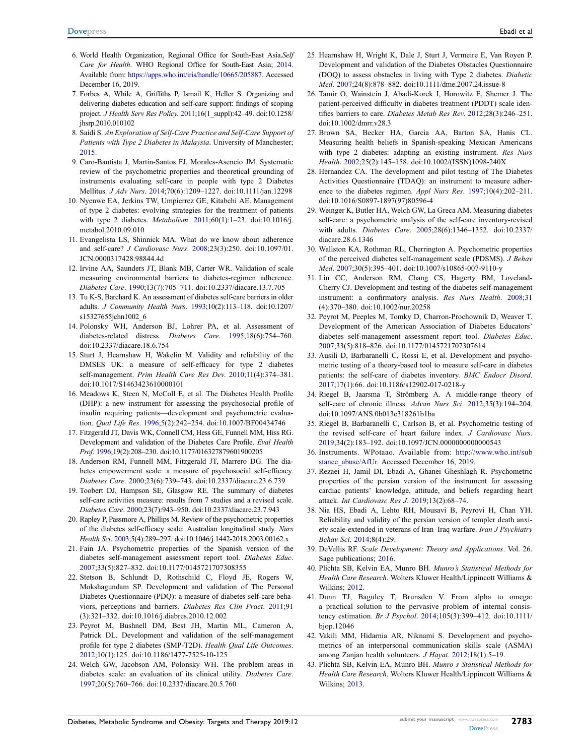- <span id="page-8-0"></span>6. World Health Organization, Regional Office for South-East Asia.Self Care for Health. WHO Regional Office for South-East Asia; [2014.](#page-1-0) Available from: [https://apps.who.int/iris/handle/10665/205887.](https://apps.who.int/iris/handle/10665/205887) Accessed December 16, 2019.
- <span id="page-8-1"></span>7. Forbes A, While A, Griffiths P, Ismail K, Heller S. Organizing and delivering diabetes education and self-care support: findings of scoping project. J Health Serv Res Policy. [2011;](#page-1-1)16(1\_suppl):42–49. doi:[10.1258/](https://doi.org/10.1258/jhsrp.2010.010102) [jhsrp.2010.010102](https://doi.org/10.1258/jhsrp.2010.010102)
- <span id="page-8-2"></span>8. Saidi S. An Exploration of Self-Care Practice and Self-Care Support of Patients with Type 2 Diabetes in Malaysia. University of Manchester; [2015.](#page-1-2)
- <span id="page-8-3"></span>9. Caro-Bautista J, Martín-Santos FJ, Morales-Asencio JM. Systematic review of the psychometric properties and theoretical grounding of instruments evaluating self-care in people with type 2 Diabetes Mellitus. J Adv Nurs. [2014](#page-1-3);70(6):1209–1227. doi:[10.1111/jan.12298](https://doi.org/10.1111/jan.12298)
- <span id="page-8-4"></span>10. Nyenwe EA, Jerkins TW, Umpierrez GE, Kitabchi AE. Management of type 2 diabetes: evolving strategies for the treatment of patients with type 2 diabetes. Metabolism. [2011](#page-1-4);60(1):1–23. doi:[10.1016/j.](https://doi.org/10.1016/j.metabol.2010.09.010) [metabol.2010.09.010](https://doi.org/10.1016/j.metabol.2010.09.010)
- <span id="page-8-5"></span>11. Evangelista LS, Shinnick MA. What do we know about adherence and self-care? J Cardiovasc Nurs. [2008;](#page-1-5)23(3):250. doi:[10.1097/01.](https://doi.org/10.1097/01.JCN.0000317428.98844.4d) [JCN.0000317428.98844.4d](https://doi.org/10.1097/01.JCN.0000317428.98844.4d)
- <span id="page-8-6"></span>12. Irvine AA, Saunders JT, Blank MB, Carter WR. Validation of scale measuring environmental barriers to diabetes-regimen adherence. Diabetes Care. [1990](#page-1-6);13(7):705–711. doi:[10.2337/diacare.13.7.705](https://doi.org/10.2337/diacare.13.7.705)
- 13. Tu K-S, Barchard K. An assessment of diabetes self-care barriers in older adults. J Community Health Nurs. 1993;10(2):113–118. doi:[10.1207/](https://doi.org/10.1207/s15327655jchn1002_6) [s15327655jchn1002\\_6](https://doi.org/10.1207/s15327655jchn1002_6)
- 14. Polonsky WH, Anderson BJ, Lohrer PA, et al. Assessment of diabetes-related distress. Diabetes Care. 1995;18(6):754–760. doi:[10.2337/diacare.18.6.754](https://doi.org/10.2337/diacare.18.6.754)
- <span id="page-8-22"></span>15. Sturt J, Hearnshaw H, Wakelin M. Validity and reliability of the DMSES UK: a measure of self-efficacy for type 2 diabetes self-management. Prim Health Care Res Dev. [2010](#page-6-0);11(4):374–381. doi:[10.1017/S1463423610000101](https://doi.org/10.1017/S1463423610000101)
- 16. Meadows K, Steen N, McColl E, et al. The Diabetes Health Profile (DHP): a new instrument for assessing the psychosocial profile of insulin requiring patients—development and psychometric evaluation. Qual Life Res. 1996;5(2):242–254. doi:[10.1007/BF00434746](https://doi.org/10.1007/BF00434746)
- 17. Fitzgerald JT, Davis WK, Connell CM, Hess GE, Funnell MM, Hiss RG. Development and validation of the Diabetes Care Profile. Eval Health Prof. 1996;19(2):208–230. doi:[10.1177/016327879601900205](https://doi.org/10.1177/016327879601900205)
- 18. Anderson RM, Funnell MM, Fitzgerald JT, Marrero DG. The diabetes empowerment scale: a measure of psychosocial self-efficacy. Diabetes Care. 2000;23(6):739–743. doi:[10.2337/diacare.23.6.739](https://doi.org/10.2337/diacare.23.6.739)
- <span id="page-8-8"></span>19. Toobert DJ, Hampson SE, Glasgow RE. The summary of diabetes self-care activities measure: results from 7 studies and a revised scale. Diabetes Care. [2000;](#page-1-7)23(7):943–950. doi:[10.2337/diacare.23.7.943](https://doi.org/10.2337/diacare.23.7.943)
- <span id="page-8-28"></span>20. Rapley P, Passmore A, Phillips M. Review of the psychometric properties of the diabetes self-efficacy scale: Australian longitudinal study. Nurs Health Sci. [2003](#page-7-5);5(4):289–297. doi:[10.1046/j.1442-2018.2003.00162.x](https://doi.org/10.1046/j.1442-2018.2003.00162.x)
- <span id="page-8-23"></span>21. Fain JA. Psychometric properties of the Spanish version of the diabetes self-management assessment report tool. Diabetes Educ. [2007;](#page-6-0)33(5):827–832. doi:[10.1177/0145721707308355](https://doi.org/10.1177/0145721707308355)
- <span id="page-8-27"></span>22. Stetson B, Schlundt D, Rothschild C, Floyd JE, Rogers W, Mokshagundam SP. Development and validation of The Personal Diabetes Questionnaire (PDQ): a measure of diabetes self-care behaviors, perceptions and barriers. Diabetes Res Clin Pract. [2011](#page-7-6);91 (3):321–332. doi:[10.1016/j.diabres.2010.12.002](https://doi.org/10.1016/j.diabres.2010.12.002)
- <span id="page-8-24"></span>23. Peyrot M, Bushnell DM, Best JH, Martin ML, Cameron A, Patrick DL. Development and validation of the self-management profile for type 2 diabetes (SMP-T2D). Health Qual Life Outcomes. [2012;](#page-6-0)10(1):125. doi:[10.1186/1477-7525-10-125](https://doi.org/10.1186/1477-7525-10-125)
- 24. Welch GW, Jacobson AM, Polonsky WH. The problem areas in diabetes scale: an evaluation of its clinical utility. Diabetes Care. 1997;20(5):760–766. doi:[10.2337/diacare.20.5.760](https://doi.org/10.2337/diacare.20.5.760)
- <span id="page-8-25"></span>25. Hearnshaw H, Wright K, Dale J, Sturt J, Vermeire E, Van Royen P. Development and validation of the Diabetes Obstacles Questionnaire (DOQ) to assess obstacles in living with Type 2 diabetes. Diabetic Med. [2007](#page-6-0);24(8):878–882. doi:[10.1111/dme.2007.24.issue-8](https://doi.org/10.1111/dme.2007.24.issue-8)
- <span id="page-8-26"></span>26. Tamir O, Wainstein J, Abadi-Korek I, Horowitz E, Shemer J. The patient-perceived difficulty in diabetes treatment (PDDT) scale identifies barriers to care. Diabetes Metab Res Rev. [2012;](#page-6-0)28(3):246–251. doi:[10.1002/dmrr.v28.3](https://doi.org/10.1002/dmrr.v28.3)
- <span id="page-8-7"></span>27. Brown SA, Becker HA, Garcia AA, Barton SA, Hanis CL. Measuring health beliefs in Spanish-speaking Mexican Americans with type 2 diabetes: adapting an existing instrument. Res Nurs Health. [2002;](#page-1-6)25(2):145–158. doi:[10.1002/\(ISSN\)1098-240X](https://doi.org/10.1002/(ISSN)1098-240X)
- <span id="page-8-9"></span>28. Hernandez CA. The development and pilot testing of The Diabetes Activities Questionnaire (TDAQ): an instrument to measure adher-ence to the diabetes regimen. Appl Nurs Res. [1997;](#page-1-7)10(4):202-211. doi:[10.1016/S0897-1897\(97\)80596-4](https://doi.org/10.1016/S0897-1897(97)80596-4)
- 29. Weinger K, Butler HA, Welch GW, La Greca AM. Measuring diabetes self-care: a psychometric analysis of the self-care inventory-revised with adults. Diabetes Care. 2005;28(6):1346–1352. doi:[10.2337/](https://doi.org/10.2337/diacare.28.6.1346) [diacare.28.6.1346](https://doi.org/10.2337/diacare.28.6.1346)
- 30. Wallston KA, Rothman RL, Cherrington A. Psychometric properties of the perceived diabetes self-management scale (PDSMS). J Behav Med. 2007;30(5):395–401. doi:[10.1007/s10865-007-9110-y](https://doi.org/10.1007/s10865-007-9110-y)
- 31. Lin CC, Anderson RM, Chang CS, Hagerty BM, Loveland-Cherry CJ. Development and testing of the diabetes self-management instrument: a confirmatory analysis. Res Nurs Health. 2008;31 (4):370–380. doi:[10.1002/nur.20258](https://doi.org/10.1002/nur.20258)
- <span id="page-8-10"></span>32. Peyrot M, Peeples M, Tomky D, Charron-Prochownik D, Weaver T. Development of the American Association of Diabetes Educators' diabetes self-management assessment report tool. Diabetes Educ. [2007](#page-1-7);33(5):818–826. doi:[10.1177/0145721707307614](https://doi.org/10.1177/0145721707307614)
- <span id="page-8-11"></span>33. Ausili D, Barbaranelli C, Rossi E, et al. Development and psychometric testing of a theory-based tool to measure self-care in diabetes patients: the self-care of diabetes inventory. BMC Endocr Disord. [2017](#page-1-8);17(1):66. doi:[10.1186/s12902-017-0218-y](https://doi.org/10.1186/s12902-017-0218-y)
- <span id="page-8-12"></span>34. Riegel B, Jaarsma T, Strömberg A. A middle-range theory of self-care of chronic illness. Advan Nurs Sci. [2012;](#page-1-9)35(3):194–204. doi:[10.1097/ANS.0b013e318261b1ba](https://doi.org/10.1097/ANS.0b013e318261b1ba)
- <span id="page-8-13"></span>35. Riegel B, Barbaranelli C, Carlson B, et al. Psychometric testing of the revised self-care of heart failure index. J Cardiovasc Nurs. [2019](#page-1-10);34(2):183–192. doi:[10.1097/JCN.0000000000000543](https://doi.org/10.1097/JCN.0000000000000543)
- <span id="page-8-14"></span>36. Instruments. WPotaao. Available from: [http://www.who.int/sub](http://www.who.int/substance_abuse/AfUr) [stance\\_abuse/AfUr.](http://www.who.int/substance_abuse/AfUr) Accessed December 16, 2019.
- <span id="page-8-15"></span>37. Rezaei H, Jamil DI, Ebadi A, Ghanei Gheshlagh R. Psychometric properties of the persian version of the instrument for assessing cardiac patients' knowledge, attitude, and beliefs regarding heart attack. Int Cardiovasc Res J. [2019](#page-2-0);13(2):68–74.
- <span id="page-8-16"></span>38. Nia HS, Ebadi A, Lehto RH, Mousavi B, Peyrovi H, Chan YH. Reliability and validity of the persian version of templer death anxiety scale-extended in veterans of Iran–Iraq warfare. Iran J Psychiatry Behav Sci. [2014](#page-2-1);8(4):29.
- <span id="page-8-17"></span>39. DeVellis RF. Scale Development: Theory and Applications. Vol. 26. Sage publications; [2016.](#page-2-2)
- <span id="page-8-18"></span>40. Plichta SB, Kelvin EA, Munro BH. Munro's Statistical Methods for Health Care Research. Wolters Kluwer Health/Lippincott Williams & Wilkins; [2012](#page-2-3).
- <span id="page-8-19"></span>41. Dunn TJ, Baguley T, Brunsden V. From alpha to omega: a practical solution to the pervasive problem of internal consistency estimation. Br J Psychol. [2014;](#page-2-4)105(3):399–412. doi:[10.1111/](https://doi.org/10.1111/bjop.12046) [bjop.12046](https://doi.org/10.1111/bjop.12046)
- <span id="page-8-20"></span>42. Vakili MM, Hidarnia AR, Niknami S. Development and psychometrics of an interpersonal communication skills scale (ASMA) among Zanjan health volunteers. J Hayat. [2012](#page-2-5);18(1):5-19.
- <span id="page-8-21"></span>43. Plichta SB, Kelvin EA, Munro BH. Munro s Statistical Methods for Health Care Research. Wolters Kluwer Health/Lippincott Williams & Wilkins; [2013](#page-2-6).